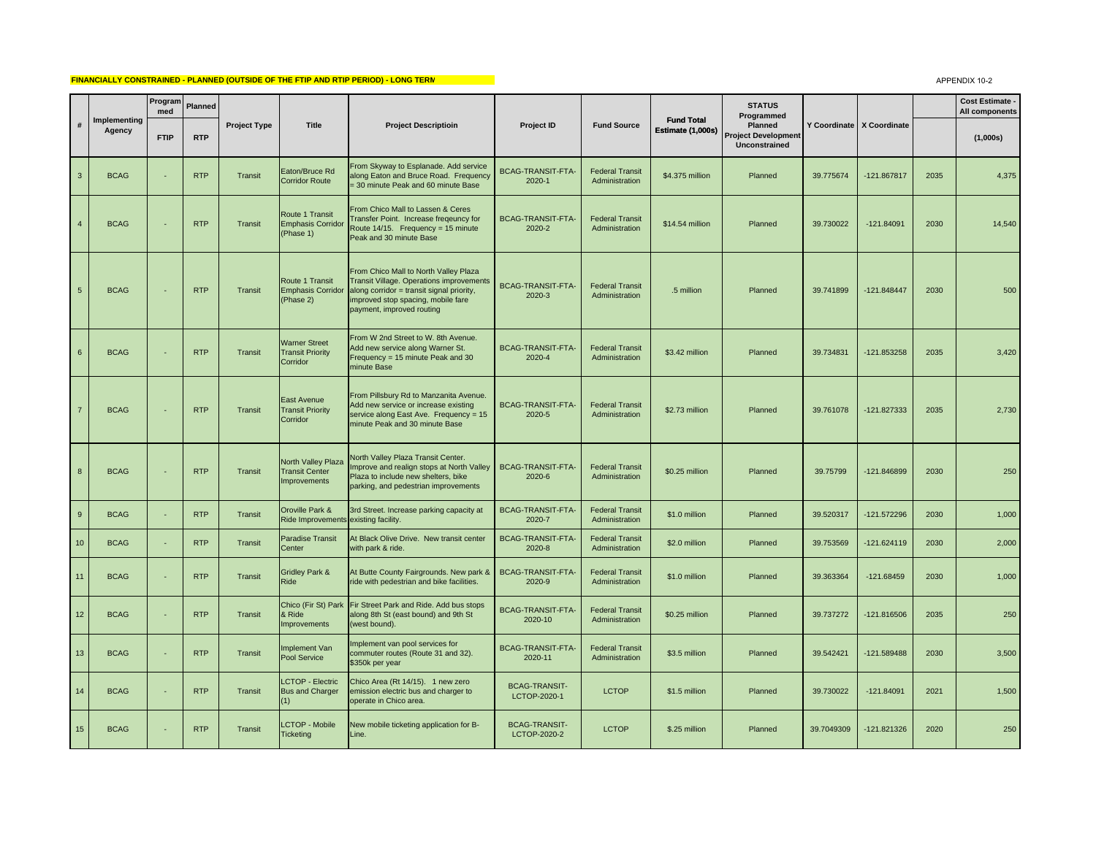## **FINANCIALLY CONSTRAINED - PLANNED (OUTSIDE OF THE FTIP AND RTIP PERIOD) - LONG TERM**

APPENDIX 10-2

|                 |                        | Program<br>med | Planned    |                     |                                                                           |                                                                                                                                                                                                          |                                      |                                          |                                        | <b>STATUS</b><br>Programmed                                   |            |                             |      | Cost Estimate -<br>All components |
|-----------------|------------------------|----------------|------------|---------------------|---------------------------------------------------------------------------|----------------------------------------------------------------------------------------------------------------------------------------------------------------------------------------------------------|--------------------------------------|------------------------------------------|----------------------------------------|---------------------------------------------------------------|------------|-----------------------------|------|-----------------------------------|
| #               | Implementing<br>Agency | <b>FTIP</b>    | <b>RTP</b> | <b>Project Type</b> | <b>Title</b>                                                              | <b>Project Descriptioin</b>                                                                                                                                                                              | Project ID                           | <b>Fund Source</b>                       | <b>Fund Total</b><br>Estimate (1,000s) | <b>Planned</b><br><b>Project Development</b><br>Unconstrained |            | Y Coordinate   X Coordinate |      | (1,000s)                          |
| $\mathbf{3}$    | <b>BCAG</b>            |                | <b>RTP</b> | Transit             | Eaton/Bruce Rd<br><b>Corridor Route</b>                                   | From Skyway to Esplanade. Add service<br>along Eaton and Bruce Road. Frequency<br>= 30 minute Peak and 60 minute Base                                                                                    | <b>BCAG-TRANSIT-FTA-</b><br>2020-1   | <b>Federal Transit</b><br>Administration | \$4.375 million                        | Planned                                                       | 39.775674  | -121.867817                 | 2035 | 4,375                             |
| $\overline{4}$  | <b>BCAG</b>            |                | <b>RTP</b> | Transit             | Route 1 Transit<br><b>Emphasis Corridor</b><br>(Phase 1)                  | From Chico Mall to Lassen & Ceres<br>Transfer Point. Increase fregeuncy for<br>Route 14/15. Frequency = 15 minute<br>Peak and 30 minute Base                                                             | <b>BCAG-TRANSIT-FTA-</b><br>2020-2   | <b>Federal Transit</b><br>Administration | \$14.54 million                        | Planned                                                       | 39.730022  | $-121.84091$                | 2030 | 14,540                            |
| $5\phantom{.0}$ | <b>BCAG</b>            |                | <b>RTP</b> | Transit             | Route 1 Transit<br><b>Emphasis Corridor</b><br>(Phase 2)                  | From Chico Mall to North Valley Plaza<br><b>Transit Village. Operations improvements</b><br>along corridor = transit signal priority,<br>improved stop spacing, mobile fare<br>payment, improved routing | BCAG-TRANSIT-FTA-<br>2020-3          | <b>Federal Transit</b><br>Administration | .5 million                             | Planned                                                       | 39.741899  | -121.848447                 | 2030 | 500                               |
| $6\overline{6}$ | <b>BCAG</b>            |                | <b>RTP</b> | Transit             | <b>Warner Street</b><br><b>Transit Priority</b><br>Corridor               | From W 2nd Street to W. 8th Avenue.<br>Add new service along Warner St.<br>Frequency = 15 minute Peak and 30<br>minute Base                                                                              | BCAG-TRANSIT-FTA-<br>2020-4          | <b>Federal Transit</b><br>Administration | \$3.42 million                         | Planned                                                       | 39.734831  | -121.853258                 | 2035 | 3,420                             |
| $\overline{7}$  | <b>BCAG</b>            |                | <b>RTP</b> | Transit             | East Avenue<br><b>Transit Priority</b><br>Corridor                        | From Pillsbury Rd to Manzanita Avenue.<br>Add new service or increase existing<br>service along East Ave. Frequency = 15<br>minute Peak and 30 minute Base                                               | <b>BCAG-TRANSIT-FTA-</b><br>2020-5   | <b>Federal Transit</b><br>Administration | \$2.73 million                         | Planned                                                       | 39.761078  | -121.827333                 | 2035 | 2,730                             |
| 8               | <b>BCAG</b>            |                | <b>RTP</b> | Transit             | <b>North Valley Plaza</b><br><b>Transit Center</b><br><b>Improvements</b> | <b>North Valley Plaza Transit Center.</b><br>mprove and realign stops at North Valley<br>Plaza to include new shelters, bike<br>parking, and pedestrian improvements                                     | <b>BCAG-TRANSIT-FTA-</b><br>2020-6   | <b>Federal Transit</b><br>Administration | \$0.25 million                         | Planned                                                       | 39.75799   | -121.846899                 | 2030 | 250                               |
| 9               | <b>BCAG</b>            |                | <b>RTP</b> | Transit             | Oroville Park &<br>Ride Improvements existing facility.                   | 3rd Street. Increase parking capacity at                                                                                                                                                                 | BCAG-TRANSIT-FTA-<br>2020-7          | <b>Federal Transit</b><br>Administration | \$1.0 million                          | Planned                                                       | 39.520317  | -121.572296                 | 2030 | 1,000                             |
| 10              | <b>BCAG</b>            |                | <b>RTP</b> | Transit             | Paradise Transit<br>Center                                                | At Black Olive Drive. New transit center<br>with park & ride.                                                                                                                                            | BCAG-TRANSIT-FTA-<br>2020-8          | <b>Federal Transit</b><br>Administration | \$2.0 million                          | Planned                                                       | 39.753569  | $-121.624119$               | 2030 | 2,000                             |
| 11              | <b>BCAG</b>            |                | <b>RTP</b> | Transit             | <b>Gridley Park &amp;</b><br>Ride                                         | At Butte County Fairgrounds. New park &<br>ride with pedestrian and bike facilities.                                                                                                                     | <b>BCAG-TRANSIT-FTA-</b><br>2020-9   | <b>Federal Transit</b><br>Administration | \$1.0 million                          | Planned                                                       | 39.363364  | $-121.68459$                | 2030 | 1,000                             |
| 12              | <b>BCAG</b>            |                | <b>RTP</b> | Transit             | Chico (Fir St) Park<br>& Ride<br>mprovements                              | Fir Street Park and Ride. Add bus stops<br>along 8th St (east bound) and 9th St<br>(west bound).                                                                                                         | <b>BCAG-TRANSIT-FTA-</b><br>2020-10  | <b>Federal Transit</b><br>Administration | \$0.25 million                         | Planned                                                       | 39.737272  | $-121.816506$               | 2035 | 250                               |
| 13              | <b>BCAG</b>            |                | <b>RTP</b> | Transit             | Implement Van<br>Pool Service                                             | Implement van pool services for<br>commuter routes (Route 31 and 32).<br>\$350k per year                                                                                                                 | BCAG-TRANSIT-FTA-<br>2020-11         | <b>Federal Transit</b><br>Administration | \$3.5 million                          | Planned                                                       | 39.542421  | -121.589488                 | 2030 | 3,500                             |
| 14              | <b>BCAG</b>            |                | <b>RTP</b> | Transit             | <b>LCTOP - Electric</b><br><b>Bus and Charger</b><br>'1)                  | Chico Area (Rt 14/15). 1 new zero<br>emission electric bus and charger to<br>operate in Chico area.                                                                                                      | <b>BCAG-TRANSIT-</b><br>LCTOP-2020-1 | <b>LCTOP</b>                             | \$1.5 million                          | Planned                                                       | 39.730022  | $-121.84091$                | 2021 | 1,500                             |
| 15              | <b>BCAG</b>            |                | <b>RTP</b> | Transit             | <b>LCTOP - Mobile</b><br><b>Ticketing</b>                                 | New mobile ticketing application for B-<br>Line.                                                                                                                                                         | <b>BCAG-TRANSIT-</b><br>LCTOP-2020-2 | <b>LCTOP</b>                             | \$.25 million                          | Planned                                                       | 39.7049309 | $-121.821326$               | 2020 | 250                               |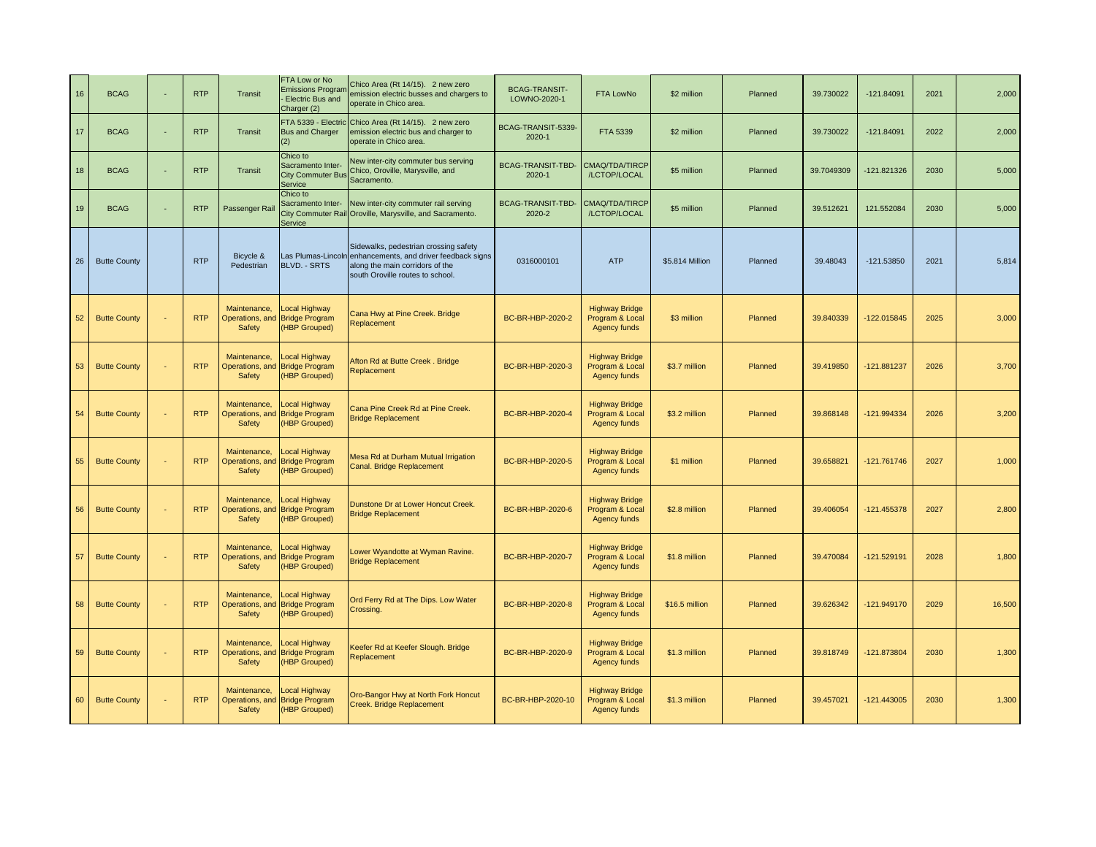| 16 | <b>BCAG</b>         | <b>RTP</b> | Transit                                   | FTA Low or No<br><b>Emissions Program</b><br>Electric Bus and<br>Charger (2) | Chico Area (Rt 14/15). 2 new zero<br>emission electric busses and chargers to<br>operate in Chico area.                                                                    | <b>BCAG-TRANSIT-</b><br>LOWNO-2020-1 | FTA LowNo                                                | \$2 million     | Planned | 39.730022  | -121.84091   | 2021 | 2,000  |
|----|---------------------|------------|-------------------------------------------|------------------------------------------------------------------------------|----------------------------------------------------------------------------------------------------------------------------------------------------------------------------|--------------------------------------|----------------------------------------------------------|-----------------|---------|------------|--------------|------|--------|
| 17 | <b>BCAG</b>         | <b>RTP</b> | Transit                                   | <b>Bus and Charger</b>                                                       | FTA 5339 - Electric Chico Area (Rt 14/15). 2 new zero<br>emission electric bus and charger to<br>operate in Chico area.                                                    | BCAG-TRANSIT-5339-<br>2020-1         | FTA 5339                                                 | \$2 million     | Planned | 39.730022  | $-121.84091$ | 2022 | 2,000  |
| 18 | <b>BCAG</b>         | <b>RTP</b> | Transit                                   | Chico to<br>Sacramento Inter-<br><b>City Commuter Bus</b><br>Service         | New inter-city commuter bus serving<br>Chico, Oroville, Marysville, and<br>Sacramento.                                                                                     | BCAG-TRANSIT-TBD-<br>2020-1          | CMAQ/TDA/TIRCP<br>/LCTOP/LOCAL                           | \$5 million     | Planned | 39.7049309 | -121.821326  | 2030 | 5,000  |
| 19 | <b>BCAG</b>         | <b>RTP</b> | Passenger Rai                             | Chico to<br>Sacramento Inter-<br>Service                                     | New inter-city commuter rail serving<br>City Commuter Rail Oroville, Marysville, and Sacramento.                                                                           | BCAG-TRANSIT-TBD-<br>2020-2          | CMAQ/TDA/TIRCP<br>/LCTOP/LOCAL                           | \$5 million     | Planned | 39.512621  | 121.552084   | 2030 | 5,000  |
| 26 | <b>Butte County</b> | <b>RTP</b> | Bicycle &<br>Pedestrian                   | <b>BLVD. - SRTS</b>                                                          | Sidewalks, pedestrian crossing safety<br>Las Plumas-Lincoln enhancements, and driver feedback signs<br>along the main corridors of the<br>south Oroville routes to school. | 0316000101                           | <b>ATP</b>                                               | \$5.814 Million | Planned | 39.48043   | $-121.53850$ | 2021 | 5,814  |
| 52 | <b>Butte County</b> | <b>RTP</b> | Maintenance,<br>Operations, and<br>Safety | Local Highway<br><b>Bridge Program</b><br>(HBP Grouped)                      | Cana Hwy at Pine Creek. Bridge<br>Replacement                                                                                                                              | BC-BR-HBP-2020-2                     | <b>Highway Bridge</b><br>Program & Local<br>Agency funds | \$3 million     | Planned | 39.840339  | -122.015845  | 2025 | 3,000  |
| 53 | <b>Butte County</b> | <b>RTP</b> | Maintenance,<br>Operations, and<br>Safety | Local Highway<br><b>Bridge Program</b><br>(HBP Grouped)                      | Afton Rd at Butte Creek. Bridge<br>Replacement                                                                                                                             | BC-BR-HBP-2020-3                     | <b>Highway Bridge</b><br>Program & Local<br>Agency funds | \$3.7 million   | Planned | 39.419850  | -121.881237  | 2026 | 3,700  |
| 54 | <b>Butte County</b> | <b>RTP</b> | Maintenance,<br>Operations, and<br>Safety | Local Highway<br><b>Bridge Program</b><br>(HBP Grouped)                      | Cana Pine Creek Rd at Pine Creek.<br><b>Bridge Replacement</b>                                                                                                             | BC-BR-HBP-2020-4                     | <b>Highway Bridge</b><br>Program & Local<br>Agency funds | \$3.2 million   | Planned | 39.868148  | 121.994334   | 2026 | 3,200  |
| 55 | <b>Butte County</b> | <b>RTP</b> | Maintenance,<br>Operations, and<br>Safety | Local Highway<br><b>Bridge Program</b><br>(HBP Grouped)                      | Mesa Rd at Durham Mutual Irrigation<br>Canal. Bridge Replacement                                                                                                           | BC-BR-HBP-2020-5                     | <b>Highway Bridge</b><br>Program & Local<br>Agency funds | \$1 million     | Planned | 39.658821  | -121.761746  | 2027 | 1,000  |
| 56 | <b>Butte County</b> | <b>RTP</b> | Maintenance,<br>Operations, and<br>Safety | Local Highway<br><b>Bridge Program</b><br>(HBP Grouped)                      | Dunstone Dr at Lower Honcut Creek.<br><b>Bridge Replacement</b>                                                                                                            | BC-BR-HBP-2020-6                     | <b>Highway Bridge</b><br>Program & Local<br>Agency funds | \$2.8 million   | Planned | 39.406054  | -121.455378  | 2027 | 2,800  |
| 57 | <b>Butte County</b> | <b>RTP</b> | Maintenance,<br>Operations, and<br>Safety | Local Highway<br><b>Bridge Program</b><br>(HBP Grouped)                      | Lower Wyandotte at Wyman Ravine.<br><b>Bridge Replacement</b>                                                                                                              | BC-BR-HBP-2020-7                     | <b>Highway Bridge</b><br>Program & Local<br>Agency funds | \$1.8 million   | Planned | 39.470084  | -121.529191  | 2028 | 1,800  |
| 58 | <b>Butte County</b> | <b>RTP</b> | Maintenance,<br>Operations, and<br>Safety | Local Highway<br><b>Bridge Program</b><br>(HBP Grouped)                      | Ord Ferry Rd at The Dips. Low Water<br>Crossing.                                                                                                                           | BC-BR-HBP-2020-8                     | <b>Highway Bridge</b><br>Program & Local<br>Agency funds | \$16.5 million  | Planned | 39.626342  | 121.949170   | 2029 | 16,500 |
| 59 | <b>Butte County</b> | <b>RTP</b> | Maintenance,<br>Operations, and<br>Safety | Local Highway<br><b>Bridge Program</b><br>(HBP Grouped)                      | Keefer Rd at Keefer Slough. Bridge<br>Replacement                                                                                                                          | BC-BR-HBP-2020-9                     | <b>Highway Bridge</b><br>Program & Local<br>Agency funds | \$1.3 million   | Planned | 39.818749  | -121.873804  | 2030 | 1,300  |
| 60 | <b>Butte County</b> | <b>RTP</b> | Maintenance,<br>Operations, and<br>Safety | Local Highway<br><b>Bridge Program</b><br>(HBP Grouped)                      | Oro-Bangor Hwy at North Fork Honcut<br>Creek. Bridge Replacement                                                                                                           | BC-BR-HBP-2020-10                    | <b>Highway Bridge</b><br>Program & Local<br>Agency funds | \$1.3 million   | Planned | 39.457021  | -121.443005  | 2030 | 1,300  |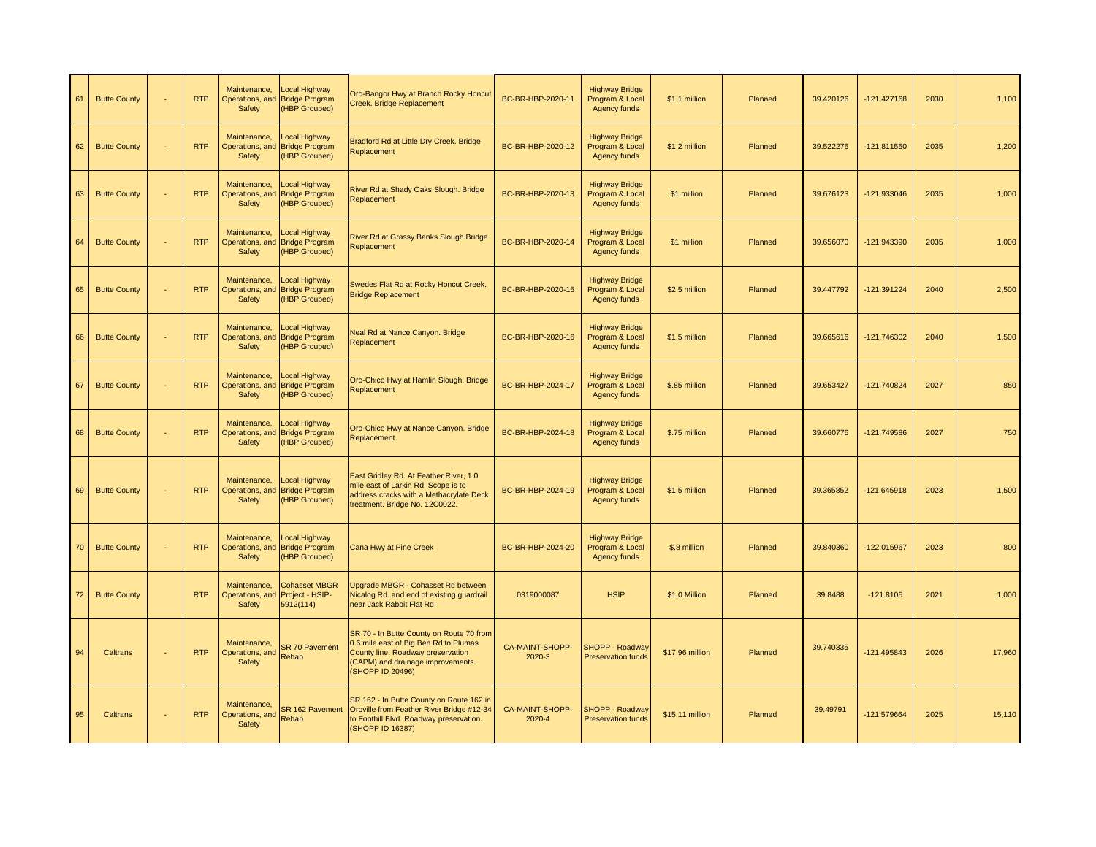| 61 | <b>Butte County</b> | <b>RTP</b> | Maintenance,<br>Operations, and<br>Safety        | <b>Local Highway</b><br><b>Bridge Program</b><br>(HBP Grouped) | Oro-Bangor Hwy at Branch Rocky Honcut<br>Creek. Bridge Replacement                                                                                                              | BC-BR-HBP-2020-11                | <b>Highway Bridge</b><br>Program & Local<br>Agency funds | \$1.1 million   | Planned | 39.420126 | $-121.427168$ | 2030 | 1,100  |
|----|---------------------|------------|--------------------------------------------------|----------------------------------------------------------------|---------------------------------------------------------------------------------------------------------------------------------------------------------------------------------|----------------------------------|----------------------------------------------------------|-----------------|---------|-----------|---------------|------|--------|
| 62 | <b>Butte County</b> | <b>RTP</b> | Maintenance,<br>Operations, and<br>Safety        | <b>Local Highway</b><br><b>Bridge Program</b><br>(HBP Grouped) | Bradford Rd at Little Dry Creek. Bridge<br>Replacement                                                                                                                          | BC-BR-HBP-2020-12                | <b>Highway Bridge</b><br>Program & Local<br>Agency funds | \$1.2 million   | Planned | 39.522275 | $-121.811550$ | 2035 | 1,200  |
| 63 | <b>Butte County</b> | <b>RTP</b> | Maintenance,<br>Operations, and<br>Safety        | <b>Local Highway</b><br><b>Bridge Program</b><br>(HBP Grouped) | River Rd at Shady Oaks Slough. Bridge<br>Replacement                                                                                                                            | BC-BR-HBP-2020-13                | <b>Highway Bridge</b><br>Program & Local<br>Agency funds | \$1 million     | Planned | 39.676123 | -121.933046   | 2035 | 1,000  |
| 64 | <b>Butte County</b> | <b>RTP</b> | Maintenance,<br>Operations, and<br>Safety        | Local Highway<br><b>Bridge Program</b><br>(HBP Grouped)        | River Rd at Grassy Banks Slough. Bridge<br>Replacement                                                                                                                          | BC-BR-HBP-2020-14                | <b>Highway Bridge</b><br>Program & Local<br>Agency funds | \$1 million     | Planned | 39.656070 | -121.943390   | 2035 | 1,000  |
| 65 | <b>Butte County</b> | <b>RTP</b> | Maintenance,<br>Operations, and<br>Safety        | <b>Local Highway</b><br><b>Bridge Program</b><br>(HBP Grouped) | Swedes Flat Rd at Rocky Honcut Creek.<br><b>Bridge Replacement</b>                                                                                                              | BC-BR-HBP-2020-15                | <b>Highway Bridge</b><br>Program & Local<br>Agency funds | \$2.5 million   | Planned | 39.447792 | -121.391224   | 2040 | 2,500  |
| 66 | <b>Butte County</b> | <b>RTP</b> | Maintenance,<br>Operations, and<br>Safety        | <b>Local Highway</b><br><b>Bridge Program</b><br>(HBP Grouped) | Neal Rd at Nance Canyon. Bridge<br>Replacement                                                                                                                                  | BC-BR-HBP-2020-16                | <b>Highway Bridge</b><br>Program & Local<br>Agency funds | \$1.5 million   | Planned | 39.665616 | -121.746302   | 2040 | 1,500  |
| 67 | <b>Butte County</b> | <b>RTP</b> | Maintenance,<br>Operations, and<br>Safety        | Local Highway<br><b>Bridge Program</b><br>(HBP Grouped)        | Oro-Chico Hwy at Hamlin Slough. Bridge<br>Replacement                                                                                                                           | BC-BR-HBP-2024-17                | <b>Highway Bridge</b><br>Program & Local<br>Agency funds | \$.85 million   | Planned | 39.653427 | -121.740824   | 2027 | 850    |
| 68 | <b>Butte County</b> | <b>RTP</b> | Maintenance,<br>Operations, and<br>Safety        | <b>Local Highway</b><br><b>Bridge Program</b><br>(HBP Grouped) | Oro-Chico Hwy at Nance Canyon. Bridge<br>Replacement                                                                                                                            | BC-BR-HBP-2024-18                | <b>Highway Bridge</b><br>Program & Local<br>Agency funds | \$.75 million   | Planned | 39.660776 | -121.749586   | 2027 | 750    |
| 69 | <b>Butte County</b> | <b>RTP</b> | Maintenance,<br>Operations, and<br>Safety        | Local Highway<br><b>Bridge Program</b><br>(HBP Grouped)        | East Gridley Rd. At Feather River, 1.0<br>mile east of Larkin Rd. Scope is to<br>address cracks with a Methacrylate Deck<br>treatment. Bridge No. 12C0022.                      | BC-BR-HBP-2024-19                | <b>Highway Bridge</b><br>Program & Local<br>Agency funds | \$1.5 million   | Planned | 39.365852 | -121.645918   | 2023 | 1,500  |
| 70 | <b>Butte County</b> | <b>RTP</b> | Maintenance,<br>Operations, and<br>Safety        | <b>Local Highway</b><br><b>Bridge Program</b><br>(HBP Grouped) | Cana Hwy at Pine Creek                                                                                                                                                          | BC-BR-HBP-2024-20                | <b>Highway Bridge</b><br>Program & Local<br>Agency funds | \$.8 million    | Planned | 39.840360 | -122.015967   | 2023 | 800    |
| 72 | <b>Butte County</b> | <b>RTP</b> | Maintenance,<br>Operations, and<br><b>Safety</b> | <b>Cohasset MBGR</b><br>Project - HSIP-<br>5912(114)           | Jpgrade MBGR - Cohasset Rd between<br>Nicalog Rd. and end of existing guardrail<br>near Jack Rabbit Flat Rd.                                                                    | 0319000087                       | <b>HSIP</b>                                              | \$1.0 Million   | Planned | 39.8488   | $-121.8105$   | 2021 | 1,000  |
| 94 | Caltrans            | <b>RTP</b> | Maintenance,<br>Operations, and<br><b>Safety</b> | <b>SR 70 Pavement</b><br>Rehab                                 | SR 70 - In Butte County on Route 70 from<br>0.6 mile east of Big Ben Rd to Plumas<br>County line. Roadway preservation<br>(CAPM) and drainage improvements.<br>(SHOPP ID 20496) | <b>CA-MAINT-SHOPP-</b><br>2020-3 | <b>SHOPP - Roadway</b><br><b>Preservation funds</b>      | \$17.96 million | Planned | 39.740335 | -121.495843   | 2026 | 17,960 |
| 95 | Caltrans            | <b>RTP</b> | Maintenance,<br>Operations, and<br>Safety        | <b>SR 162 Pavement</b><br>Rehab                                | SR 162 - In Butte County on Route 162 in<br>Oroville from Feather River Bridge #12-34<br>to Foothill Blvd. Roadway preservation.<br>(SHOPP ID 16387)                            | CA-MAINT-SHOPP-<br>2020-4        | <b>SHOPP - Roadway</b><br><b>Preservation funds</b>      | \$15.11 million | Planned | 39.49791  | -121.579664   | 2025 | 15,110 |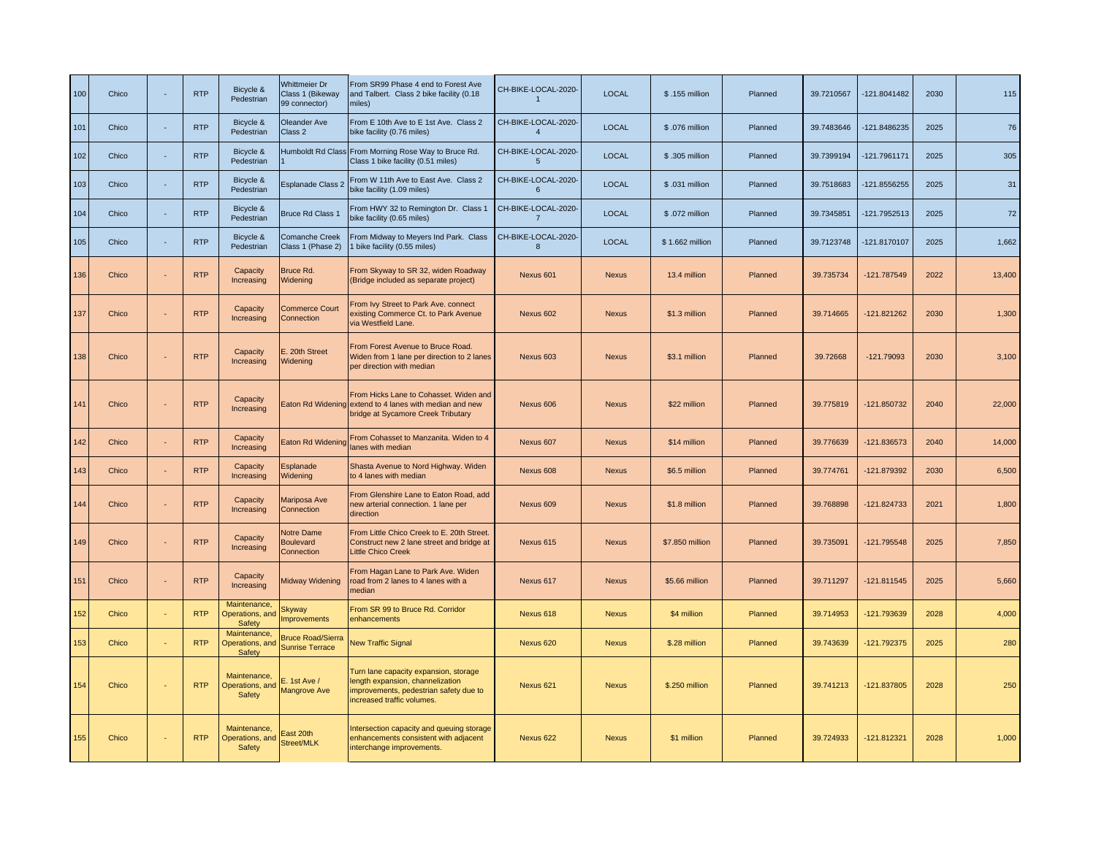| 100 | Chico | <b>RTP</b> | Bicycle &<br>Pedestrian                                  | <b>Whittmeier Dr</b><br>Class 1 (Bikeway<br>99 connector) | From SR99 Phase 4 end to Forest Ave<br>and Talbert. Class 2 bike facility (0.18<br>miles)                                                         | CH-BIKE-LOCAL-2020-<br>$\overline{1}$ | <b>LOCAL</b> | \$.155 million  | Planned | 39.7210567 | -121.8041482  | 2030 | 115    |
|-----|-------|------------|----------------------------------------------------------|-----------------------------------------------------------|---------------------------------------------------------------------------------------------------------------------------------------------------|---------------------------------------|--------------|-----------------|---------|------------|---------------|------|--------|
| 101 | Chico | <b>RTP</b> | Bicycle &<br>Pedestrian                                  | Oleander Ave<br>Class 2                                   | From E 10th Ave to E 1st Ave. Class 2<br>bike facility (0.76 miles)                                                                               | CH-BIKE-LOCAL-2020-<br>$\overline{4}$ | <b>LOCAL</b> | \$.076 million  | Planned | 39.7483646 | -121.8486235  | 2025 | 76     |
| 102 | Chico | <b>RTP</b> | Bicycle &<br>Pedestrian                                  | <b>Humboldt Rd Class</b>                                  | From Morning Rose Way to Bruce Rd.<br>Class 1 bike facility (0.51 miles)                                                                          | CH-BIKE-LOCAL-2020-<br>$\overline{5}$ | <b>LOCAL</b> | \$.305 million  | Planned | 39.7399194 | -121.7961171  | 2025 | 305    |
| 103 | Chico | <b>RTP</b> | Bicycle &<br>Pedestrian                                  | Esplanade Class 2                                         | From W 11th Ave to East Ave. Class 2<br>bike facility (1.09 miles)                                                                                | CH-BIKE-LOCAL-2020-<br>6              | <b>LOCAL</b> | \$.031 million  | Planned | 39.7518683 | -121.8556255  | 2025 | 31     |
| 104 | Chico | <b>RTP</b> | Bicycle &<br>Pedestrian                                  | <b>Bruce Rd Class 1</b>                                   | From HWY 32 to Remington Dr. Class 1<br>bike facility (0.65 miles)                                                                                | CH-BIKE-LOCAL-2020-<br>$\overline{7}$ | <b>LOCAL</b> | \$.072 million  | Planned | 39.7345851 | -121.7952513  | 2025 | 72     |
| 105 | Chico | <b>RTP</b> | Bicycle &<br>Pedestrian                                  | <b>Comanche Creek</b><br>Class 1 (Phase 2)                | From Midway to Meyers Ind Park. Class<br>bike facility (0.55 miles)                                                                               | CH-BIKE-LOCAL-2020-<br>$\mathbf{8}$   | LOCAL        | \$1.662 million | Planned | 39.7123748 | -121.8170107  | 2025 | 1,662  |
| 136 | Chico | <b>RTP</b> | Capacity<br>Increasing                                   | Bruce Rd.<br>Widening                                     | From Skyway to SR 32, widen Roadway<br>(Bridge included as separate project)                                                                      | Nexus 601                             | <b>Nexus</b> | 13.4 million    | Planned | 39.735734  | $-121.787549$ | 2022 | 13,400 |
| 137 | Chico | <b>RTP</b> | Capacity<br>Increasing                                   | <b>Commerce Court</b><br>Connection                       | From Ivy Street to Park Ave. connect<br>existing Commerce Ct. to Park Avenue<br>via Westfield Lane.                                               | Nexus 602                             | <b>Nexus</b> | \$1.3 million   | Planned | 39.714665  | -121.821262   | 2030 | 1,300  |
| 138 | Chico | <b>RTP</b> | Capacity<br>Increasing                                   | E. 20th Street<br>Widening                                | From Forest Avenue to Bruce Road.<br>Widen from 1 lane per direction to 2 lanes<br>per direction with median                                      | Nexus 603                             | <b>Nexus</b> | \$3.1 million   | Planned | 39.72668   | $-121.79093$  | 2030 | 3,100  |
| 141 | Chico | <b>RTP</b> | Capacity<br>Increasing                                   |                                                           | From Hicks Lane to Cohasset. Widen and<br>Eaton Rd Widening extend to 4 lanes with median and new<br>bridge at Sycamore Creek Tributary           | Nexus 606                             | <b>Nexus</b> | \$22 million    | Planned | 39.775819  | $-121.850732$ | 2040 | 22,000 |
| 142 | Chico | <b>RTP</b> | Capacity<br>Increasing                                   | Eaton Rd Widening                                         | From Cohasset to Manzanita. Widen to 4<br>lanes with median                                                                                       | Nexus 607                             | <b>Nexus</b> | \$14 million    | Planned | 39.776639  | -121.836573   | 2040 | 14,000 |
| 143 | Chico | <b>RTP</b> | Capacity<br>Increasing                                   | Esplanade<br>Widening                                     | Shasta Avenue to Nord Highway. Widen<br>to 4 lanes with median                                                                                    | Nexus 608                             | <b>Nexus</b> | \$6.5 million   | Planned | 39.774761  | -121.879392   | 2030 | 6,500  |
| 144 | Chico | <b>RTP</b> | Capacity<br>Increasing                                   | Mariposa Ave<br>Connection                                | From Glenshire Lane to Eaton Road, add<br>new arterial connection. 1 lane per<br>direction                                                        | Nexus 609                             | <b>Nexus</b> | \$1.8 million   | Planned | 39.768898  | $-121.824733$ | 2021 | 1,800  |
| 149 | Chico | <b>RTP</b> | Capacity<br>Increasing                                   | Notre Dame<br>Boulevard<br>Connection                     | From Little Chico Creek to E. 20th Street.<br>Construct new 2 lane street and bridge at<br><b>Little Chico Creek</b>                              | Nexus 615                             | <b>Nexus</b> | \$7.850 million | Planned | 39.735091  | -121.795548   | 2025 | 7,850  |
| 151 | Chico | <b>RTP</b> | Capacity<br>Increasing                                   | <b>Midway Widening</b>                                    | From Hagan Lane to Park Ave. Widen<br>oad from 2 lanes to 4 lanes with a<br>median                                                                | Nexus 617                             | <b>Nexus</b> | \$5.66 million  | Planned | 39.711297  | $-121.811545$ | 2025 | 5,660  |
| 152 | Chico | <b>RTP</b> | Maintenance,<br><b>Operations</b> , and<br>Safety        | <b>Skyway</b><br><b>Improvements</b>                      | From SR 99 to Bruce Rd. Corridor<br>enhancements                                                                                                  | Nexus 618                             | <b>Nexus</b> | \$4 million     | Planned | 39.714953  | -121.793639   | 2028 | 4,000  |
| 153 | Chico | <b>RTP</b> | Maintenance,<br><b>Operations</b> , and<br><b>Safety</b> | <b>Bruce Road/Sierra</b><br><b>Sunrise Terrace</b>        | <b>New Traffic Signal</b>                                                                                                                         | Nexus 620                             | <b>Nexus</b> | \$.28 million   | Planned | 39.743639  | $-121.792375$ | 2025 | 280    |
| 154 | Chico | <b>RTP</b> | Maintenance,<br>Operations, and<br>Safety                | E. 1st Ave /<br><b>Mangrove Ave</b>                       | Turn lane capacity expansion, storage<br>length expansion, channelization<br>improvements, pedestrian safety due to<br>increased traffic volumes. | Nexus 621                             | <b>Nexus</b> | \$.250 million  | Planned | 39.741213  | $-121.837805$ | 2028 | 250    |
| 155 | Chico | <b>RTP</b> | Maintenance,<br>Operations, and<br><b>Safety</b>         | East 20th<br>Street/MLK                                   | Intersection capacity and queuing storage<br>enhancements consistent with adjacent<br>interchange improvements.                                   | Nexus 622                             | <b>Nexus</b> | \$1 million     | Planned | 39.724933  | -121.812321   | 2028 | 1,000  |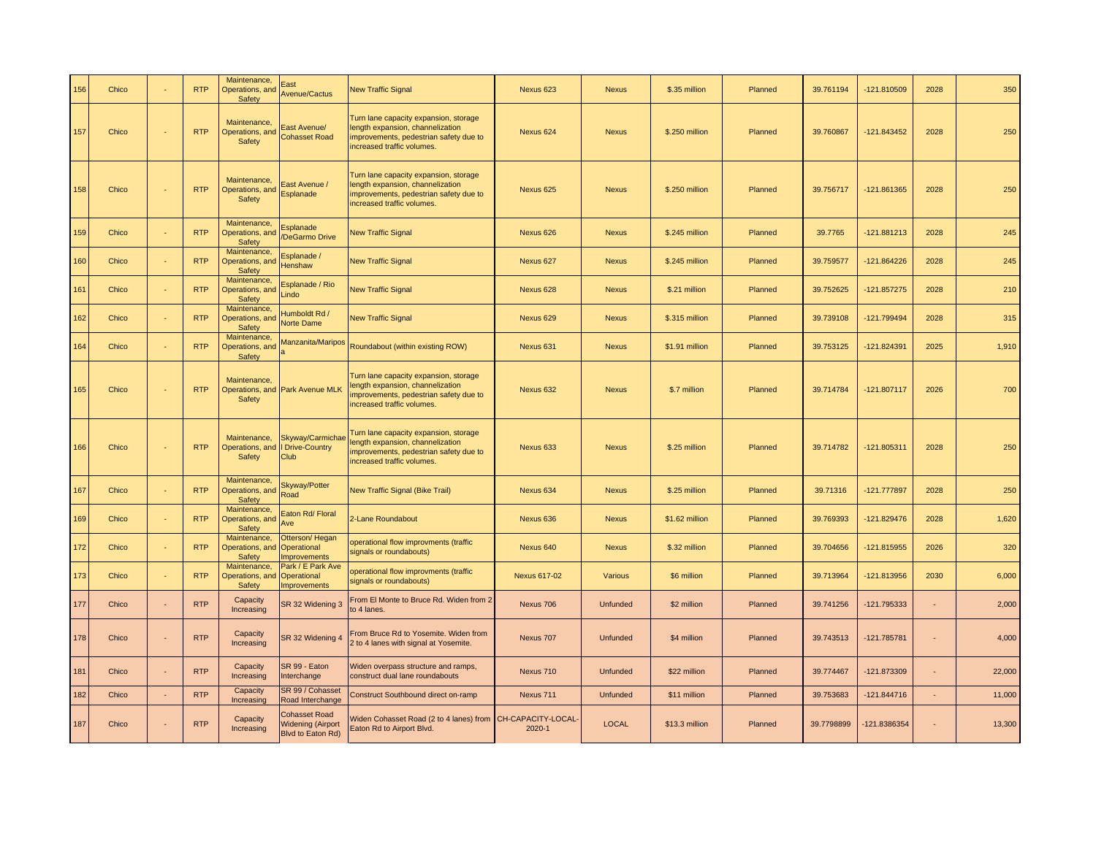| 156 | Chico |                | <b>RTP</b> | Maintenance,<br>Operations, and<br>Safety | East<br>Avenue/Cactus                                                 | <b>New Traffic Signal</b>                                                                                                                         | Nexus 623                    | <b>Nexus</b>    | \$.35 million  | Planned | 39.761194  | -121.810509   | 2028 | 350    |
|-----|-------|----------------|------------|-------------------------------------------|-----------------------------------------------------------------------|---------------------------------------------------------------------------------------------------------------------------------------------------|------------------------------|-----------------|----------------|---------|------------|---------------|------|--------|
| 157 | Chico |                | <b>RTP</b> | Maintenance,<br>Operations, and<br>Safety | East Avenue/<br><b>Cohasset Road</b>                                  | Turn lane capacity expansion, storage<br>length expansion, channelization<br>improvements, pedestrian safety due to<br>increased traffic volumes. | Nexus 624                    | <b>Nexus</b>    | \$.250 million | Planned | 39.760867  | $-121.843452$ | 2028 | 250    |
| 158 | Chico |                | <b>RTP</b> | Maintenance,<br>Operations, and<br>Safety | East Avenue /<br>Esplanade                                            | Turn lane capacity expansion, storage<br>length expansion, channelization<br>improvements, pedestrian safety due to<br>increased traffic volumes. | Nexus 625                    | <b>Nexus</b>    | \$.250 million | Planned | 39.756717  | -121.861365   | 2028 | 250    |
| 159 | Chico |                | <b>RTP</b> | Maintenance,<br>Operations, and<br>Safety | Esplanade<br>/DeGarmo Drive                                           | <b>New Traffic Signal</b>                                                                                                                         | Nexus 626                    | <b>Nexus</b>    | \$.245 million | Planned | 39.7765    | $-121.881213$ | 2028 | 245    |
| 160 | Chico |                | <b>RTP</b> | Maintenance,<br>Operations, and<br>Safety | Esplanade /<br><b>Henshaw</b>                                         | <b>New Traffic Signal</b>                                                                                                                         | Nexus 627                    | <b>Nexus</b>    | \$.245 million | Planned | 39.759577  | $-121.864226$ | 2028 | 245    |
| 161 | Chico |                | <b>RTP</b> | Maintenance,<br>Operations, and<br>Safety | Esplanade / Rio<br>Lindo                                              | <b>New Traffic Signal</b>                                                                                                                         | Nexus 628                    | <b>Nexus</b>    | \$.21 million  | Planned | 39.752625  | -121.857275   | 2028 | 210    |
| 162 | Chico |                | <b>RTP</b> | Maintenance,<br>Operations, and<br>Safety | Humboldt Rd /<br>Norte Dame                                           | <b>New Traffic Signal</b>                                                                                                                         | Nexus 629                    | <b>Nexus</b>    | \$.315 million | Planned | 39.739108  | -121.799494   | 2028 | 315    |
| 164 | Chico |                | <b>RTP</b> | Maintenance,<br>Operations, and<br>Safety | Manzanita/Maripos                                                     | Roundabout (within existing ROW)                                                                                                                  | Nexus 631                    | <b>Nexus</b>    | \$1.91 million | Planned | 39.753125  | $-121.824391$ | 2025 | 1,910  |
| 165 | Chico |                | <b>RTP</b> | Maintenance.<br>Safety                    | Operations, and Park Avenue MLK                                       | Turn lane capacity expansion, storage<br>length expansion, channelization<br>mprovements, pedestrian safety due to<br>increased traffic volumes.  | Nexus 632                    | <b>Nexus</b>    | \$.7 million   | Planned | 39.714784  | $-121.807117$ | 2026 | 700    |
| 166 | Chico |                | <b>RTP</b> | Maintenance,<br>Safety                    | Skyway/Carmichae<br>Operations, and I Drive-Country<br>Club           | Furn lane capacity expansion, storage<br>length expansion, channelization<br>improvements, pedestrian safety due to<br>increased traffic volumes. | Nexus 633                    | <b>Nexus</b>    | \$.25 million  | Planned | 39.714782  | $-121.805311$ | 2028 | 250    |
| 167 | Chico |                | <b>RTP</b> | Maintenance,<br>Operations, and<br>Safety | <b>Skyway/Potter</b><br>Road                                          | New Traffic Signal (Bike Trail)                                                                                                                   | Nexus 634                    | <b>Nexus</b>    | \$.25 million  | Planned | 39.71316   | -121.777897   | 2028 | 250    |
| 169 | Chico |                | <b>RTP</b> | Maintenance,<br>Operations, and<br>Safety | Eaton Rd/ Floral<br>Ave                                               | 2-Lane Roundabout                                                                                                                                 | Nexus 636                    | <b>Nexus</b>    | \$1.62 million | Planned | 39.769393  | $-121.829476$ | 2028 | 1,620  |
| 172 | Chico |                | <b>RTP</b> | Maintenance,<br>Operations, and<br>Safety | Otterson/Hegan<br>Operational<br><b>Improvements</b>                  | operational flow improvments (traffic<br>signals or roundabouts)                                                                                  | Nexus 640                    | <b>Nexus</b>    | \$.32 million  | Planned | 39.704656  | $-121.815955$ | 2026 | 320    |
| 173 | Chico |                | <b>RTP</b> | Maintenance,<br>Operations, and<br>Safety | Park / E Park Ave<br>Operational<br><b>Improvements</b>               | operational flow improvments (traffic<br>signals or roundabouts)                                                                                  | <b>Nexus 617-02</b>          | <b>Various</b>  | \$6 million    | Planned | 39.713964  | -121.813956   | 2030 | 6,000  |
| 177 | Chico |                | <b>RTP</b> | Capacity<br>Increasing                    | SR 32 Widening 3                                                      | From El Monte to Bruce Rd. Widen from 2<br>to 4 lanes.                                                                                            | Nexus 706                    | Unfunded        | \$2 million    | Planned | 39.741256  | -121.795333   | ÷    | 2,000  |
| 178 | Chico |                | <b>RTP</b> | Capacity<br>Increasing                    | SR 32 Widening 4                                                      | From Bruce Rd to Yosemite. Widen from<br>2 to 4 lanes with signal at Yosemite.                                                                    | Nexus 707                    | <b>Unfunded</b> | \$4 million    | Planned | 39.743513  | -121.785781   |      | 4,000  |
| 181 | Chico |                | <b>RTP</b> | Capacity<br>Increasing                    | SR 99 - Eaton<br>Interchange                                          | Viden overpass structure and ramps,<br>construct dual lane roundabouts                                                                            | Nexus 710                    | <b>Unfunded</b> | \$22 million   | Planned | 39.774467  | -121.873309   |      | 22,000 |
| 182 | Chico | $\blacksquare$ | <b>RTP</b> | Capacity<br>Increasing                    | SR 99 / Cohasset<br>Road Interchange                                  | Construct Southbound direct on-ramp                                                                                                               | Nexus 711                    | <b>Unfunded</b> | \$11 million   | Planned | 39.753683  | $-121.844716$ | ä,   | 11,000 |
| 187 | Chico |                | <b>RTP</b> | Capacity<br>Increasing                    | <b>Cohasset Road</b><br><b>Widening (Airport</b><br>Blvd to Eaton Rd) | Viden Cohasset Road (2 to 4 lanes) from<br>Eaton Rd to Airport Blvd.                                                                              | CH-CAPACITY-LOCAL-<br>2020-1 | <b>LOCAL</b>    | \$13.3 million | Planned | 39.7798899 | 121.8386354   |      | 13,300 |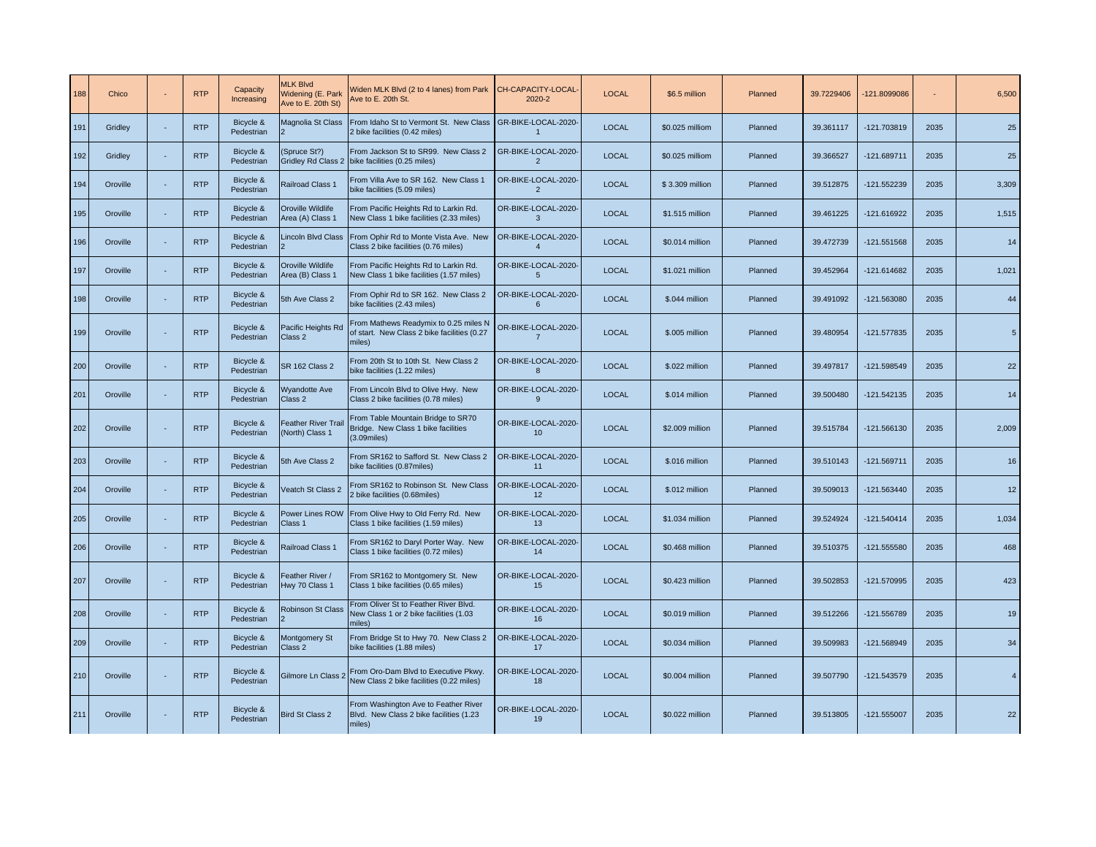| 188 | Chico    | <b>RTP</b> | Capacity<br>Increasing  | <b>MLK Blvd</b><br>Widening (E. Park<br>Ave to E. 20th St) | Widen MLK Blvd (2 to 4 lanes) from Park<br>Ave to E. 20th St.                                  | CH-CAPACITY-LOCAL-<br>2020-2           | <b>LOCAL</b> | \$6.5 million   | Planned | 39.7229406 | 121.8099086   |      | 6,500           |
|-----|----------|------------|-------------------------|------------------------------------------------------------|------------------------------------------------------------------------------------------------|----------------------------------------|--------------|-----------------|---------|------------|---------------|------|-----------------|
| 191 | Gridley  | <b>RTP</b> | Bicycle &<br>Pedestrian | Magnolia St Class                                          | From Idaho St to Vermont St. New Class<br>2 bike facilities (0.42 miles)                       | GR-BIKE-LOCAL-2020-<br>$\mathbf{1}$    | <b>LOCAL</b> | \$0.025 milliom | Planned | 39.361117  | -121.703819   | 2035 | 25              |
| 192 | Gridley  | <b>RTP</b> | Bicycle &<br>Pedestrian | (Spruce St?)                                               | From Jackson St to SR99. New Class 2<br>Gridley Rd Class 2 bike facilities (0.25 miles)        | GR-BIKE-LOCAL-2020-<br>$\overline{2}$  | <b>LOCAL</b> | \$0.025 milliom | Planned | 39.366527  | $-121.689711$ | 2035 | 25              |
| 194 | Oroville | <b>RTP</b> | Bicycle &<br>Pedestrian | Railroad Class 1                                           | From Villa Ave to SR 162. New Class 1<br>bike facilities (5.09 miles)                          | OR-BIKE-LOCAL-2020-<br>$\overline{2}$  | <b>LOCAL</b> | \$3.309 million | Planned | 39.512875  | -121.552239   | 2035 | 3,309           |
| 195 | Oroville | <b>RTP</b> | Bicycle &<br>Pedestrian | Oroville Wildlife<br>Area (A) Class 1                      | From Pacific Heights Rd to Larkin Rd.<br>New Class 1 bike facilities (2.33 miles)              | OR-BIKE-LOCAL-2020-<br>3               | <b>LOCAL</b> | \$1.515 million | Planned | 39.461225  | -121.616922   | 2035 | 1,515           |
| 196 | Oroville | <b>RTP</b> | Bicycle &<br>Pedestrian | Lincoln Blvd Class                                         | From Ophir Rd to Monte Vista Ave. New<br>Class 2 bike facilities (0.76 miles)                  | OR-BIKE-LOCAL-2020-<br>$\overline{4}$  | <b>LOCAL</b> | \$0.014 million | Planned | 39.472739  | -121.551568   | 2035 | 14              |
| 197 | Oroville | <b>RTP</b> | Bicycle &<br>Pedestrian | Oroville Wildlife<br>Area (B) Class 1                      | From Pacific Heights Rd to Larkin Rd.<br>New Class 1 bike facilities (1.57 miles)              | OR-BIKE-LOCAL-2020-<br>$5\overline{5}$ | <b>LOCAL</b> | \$1.021 million | Planned | 39.452964  | -121.614682   | 2035 | 1,021           |
| 198 | Oroville | <b>RTP</b> | Bicycle &<br>Pedestrian | 5th Ave Class 2                                            | From Ophir Rd to SR 162. New Class 2<br>bike facilities (2.43 miles)                           | OR-BIKE-LOCAL-2020-<br>6               | <b>LOCAL</b> | \$.044 million  | Planned | 39.491092  | -121.563080   | 2035 | 44              |
| 199 | Oroville | <b>RTP</b> | Bicycle &<br>Pedestrian | Pacific Heights Rd<br>Class 2                              | From Mathews Readymix to 0.25 miles N<br>of start. New Class 2 bike facilities (0.27<br>miles) | OR-BIKE-LOCAL-2020-<br>$\overline{7}$  | <b>LOCAL</b> | \$.005 million  | Planned | 39.480954  | -121.577835   | 2035 | $5\phantom{.0}$ |
| 200 | Oroville | <b>RTP</b> | Bicycle &<br>Pedestrian | <b>SR 162 Class 2</b>                                      | From 20th St to 10th St. New Class 2<br>bike facilities (1.22 miles)                           | OR-BIKE-LOCAL-2020-<br>8               | <b>LOCAL</b> | \$.022 million  | Planned | 39.497817  | -121.598549   | 2035 | 22              |
| 201 | Oroville | <b>RTP</b> | Bicycle &<br>Pedestrian | <b>Wyandotte Ave</b><br>Class 2                            | From Lincoln Blvd to Olive Hwy. New<br>Class 2 bike facilities (0.78 miles)                    | OR-BIKE-LOCAL-2020-<br>9               | <b>LOCAL</b> | \$.014 million  | Planned | 39.500480  | -121.542135   | 2035 | 14              |
| 202 | Oroville | <b>RTP</b> | Bicycle &<br>Pedestrian | <b>Feather River Trail</b><br>(North) Class 1              | From Table Mountain Bridge to SR70<br>Bridge. New Class 1 bike facilities<br>$(3.09$ miles $)$ | OR-BIKE-LOCAL-2020-<br>10              | <b>LOCAL</b> | \$2.009 million | Planned | 39.515784  | -121.566130   | 2035 | 2,009           |
| 203 | Oroville | <b>RTP</b> | Bicycle &<br>Pedestrian | 5th Ave Class 2                                            | From SR162 to Safford St. New Class 2<br>bike facilities (0.87miles)                           | OR-BIKE-LOCAL-2020-<br>11              | <b>LOCAL</b> | \$.016 million  | Planned | 39.510143  | $-121.569711$ | 2035 | 16              |
| 204 | Oroville | <b>RTP</b> | Bicycle &<br>Pedestrian | Veatch St Class 2                                          | From SR162 to Robinson St. New Class<br>2 bike facilities (0.68miles)                          | OR-BIKE-LOCAL-2020-<br>12              | <b>LOCAL</b> | \$.012 million  | Planned | 39.509013  | -121.563440   | 2035 | 12              |
| 205 | Oroville | <b>RTP</b> | Bicycle &<br>Pedestrian | Power Lines ROW<br>Class 1                                 | From Olive Hwy to Old Ferry Rd. New<br>Class 1 bike facilities (1.59 miles)                    | OR-BIKE-LOCAL-2020-<br>13              | <b>LOCAL</b> | \$1.034 million | Planned | 39.524924  | $-121.540414$ | 2035 | 1,034           |
| 206 | Oroville | <b>RTP</b> | Bicycle &<br>Pedestrian | Railroad Class 1                                           | From SR162 to Daryl Porter Way. New<br>Class 1 bike facilities (0.72 miles)                    | OR-BIKE-LOCAL-2020-<br>14              | <b>LOCAL</b> | \$0.468 million | Planned | 39.510375  | -121.555580   | 2035 | 468             |
| 207 | Oroville | <b>RTP</b> | Bicycle &<br>Pedestrian | Feather River /<br>Hwy 70 Class 1                          | From SR162 to Montgomery St. New<br>Class 1 bike facilities (0.65 miles)                       | OR-BIKE-LOCAL-2020-<br>15              | <b>LOCAL</b> | \$0.423 million | Planned | 39.502853  | -121.570995   | 2035 | 423             |
| 208 | Oroville | <b>RTP</b> | Bicycle &<br>Pedestrian | <b>Robinson St Class</b>                                   | From Oliver St to Feather River Blvd.<br>New Class 1 or 2 bike facilities (1.03<br>miles)      | OR-BIKE-LOCAL-2020-<br>16              | <b>LOCAL</b> | \$0.019 million | Planned | 39.512266  | -121.556789   | 2035 | 19              |
| 209 | Oroville | <b>RTP</b> | Bicycle &<br>Pedestrian | <b>Montgomery St</b><br>Class 2                            | From Bridge St to Hwy 70. New Class 2<br>bike facilities (1.88 miles)                          | OR-BIKE-LOCAL-2020-<br>17              | <b>LOCAL</b> | \$0.034 million | Planned | 39.509983  | -121.568949   | 2035 | 34              |
| 210 | Oroville | <b>RTP</b> | Bicycle &<br>Pedestrian | Gilmore Ln Class 2                                         | From Oro-Dam Blvd to Executive Pkwy.<br>New Class 2 bike facilities (0.22 miles)               | OR-BIKE-LOCAL-2020-<br>18              | <b>LOCAL</b> | \$0.004 million | Planned | 39.507790  | -121.543579   | 2035 | $\overline{4}$  |
| 211 | Oroville | <b>RTP</b> | Bicycle &<br>Pedestrian | <b>Bird St Class 2</b>                                     | From Washington Ave to Feather River<br>Blvd. New Class 2 bike facilities (1.23<br>miles)      | OR-BIKE-LOCAL-2020-<br>19              | <b>LOCAL</b> | \$0.022 million | Planned | 39.513805  | $-121.555007$ | 2035 | 22              |